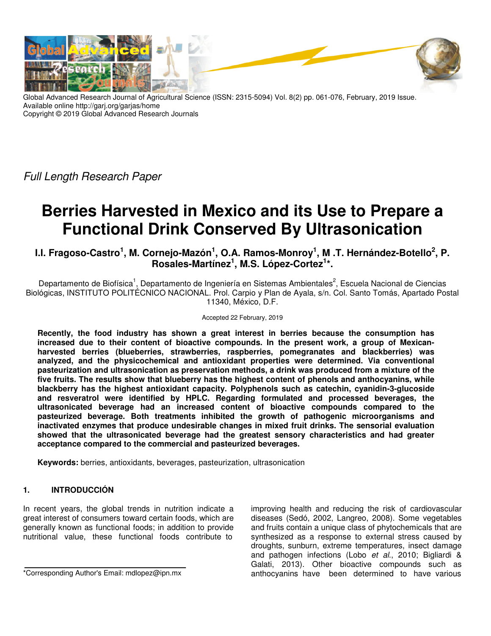

Global Advanced Research Journal of Agricultural Science (ISSN: 2315-5094) Vol. 8(2) pp. 061-076, February, 2019 Issue. Available online http://garj.org/garjas/home Copyright © 2019 Global Advanced Research Journals

Full Length Research Paper

# **Berries Harvested in Mexico and its Use to Prepare a Functional Drink Conserved By Ultrasonication**

**I.I. Fragoso-Castro<sup>1</sup> , M. Cornejo-Mazón<sup>1</sup> , O.A. Ramos-Monroy<sup>1</sup> , M .T. Hernández-Botello<sup>2</sup> , P. Rosales-Martínez<sup>1</sup> , M.S. López-Cortez<sup>1</sup> \*.** 

Departamento de Biofísica<sup>1</sup>, Departamento de Ingeniería en Sistemas Ambientales<sup>2</sup>, Escuela Nacional de Ciencias Biológicas, INSTITUTO POLITÉCNICO NACIONAL. Prol. Carpio y Plan de Ayala, s/n. Col. Santo Tomás, Apartado Postal 11340, México, D.F.

## Accepted 22 February, 2019

**Recently, the food industry has shown a great interest in berries because the consumption has increased due to their content of bioactive compounds. In the present work, a group of Mexicanharvested berries (blueberries, strawberries, raspberries, pomegranates and blackberries) was analyzed, and the physicochemical and antioxidant properties were determined. Via conventional pasteurization and ultrasonication as preservation methods, a drink was produced from a mixture of the five fruits. The results show that blueberry has the highest content of phenols and anthocyanins, while blackberry has the highest antioxidant capacity. Polyphenols such as catechin, cyanidin-3-glucoside and resveratrol were identified by HPLC. Regarding formulated and processed beverages, the ultrasonicated beverage had an increased content of bioactive compounds compared to the pasteurized beverage. Both treatments inhibited the growth of pathogenic microorganisms and inactivated enzymes that produce undesirable changes in mixed fruit drinks. The sensorial evaluation showed that the ultrasonicated beverage had the greatest sensory characteristics and had greater acceptance compared to the commercial and pasteurized beverages.** 

**Keywords:** berries, antioxidants, beverages, pasteurization, ultrasonication

# **1. INTRODUCCIÓN**

In recent years, the global trends in nutrition indicate a great interest of consumers toward certain foods, which are generally known as functional foods; in addition to provide nutritional value, these functional foods contribute to

\*Corresponding Author's Email: mdlopez@ipn.mx

improving health and reducing the risk of cardiovascular diseases (Sedó, 2002, Langreo, 2008). Some vegetables and fruits contain a unique class of phytochemicals that are synthesized as a response to external stress caused by droughts, sunburn, extreme temperatures, insect damage and pathogen infections (Lobo et al., 2010; Bigliardi & Galati, 2013). Other bioactive compounds such as anthocyanins have been determined to have various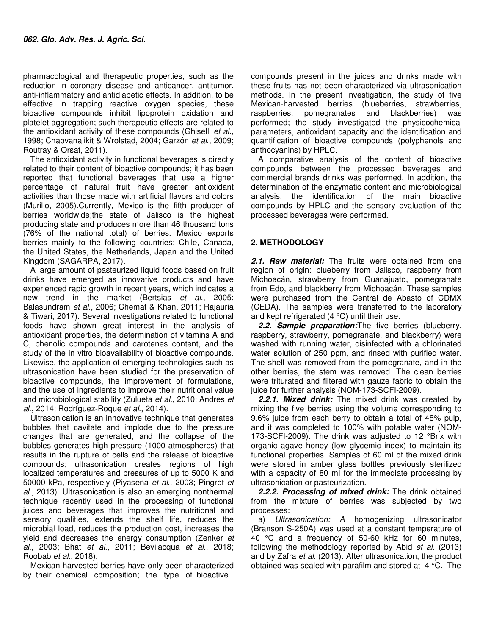pharmacological and therapeutic properties, such as the reduction in coronary disease and anticancer, antitumor, anti-inflammatory and antidiabetic effects. In addition, to be effective in trapping reactive oxygen species, these bioactive compounds inhibit lipoprotein oxidation and platelet aggregation; such therapeutic effects are related to the antioxidant activity of these compounds (Ghiselli et al., 1998; Chaovanalikit & Wrolstad, 2004; Garzón et al., 2009; Routray & Orsat, 2011).

The antioxidant activity in functional beverages is directly related to their content of bioactive compounds; it has been reported that functional beverages that use a higher percentage of natural fruit have greater antioxidant activities than those made with artificial flavors and colors (Murillo, 2005).Currently, Mexico is the fifth producer of berries worldwide;the state of Jalisco is the highest producing state and produces more than 46 thousand tons (76% of the national total) of berries. Mexico exports berries mainly to the following countries: Chile, Canada, the United States, the Netherlands, Japan and the United Kingdom (SAGARPA, 2017).

A large amount of pasteurized liquid foods based on fruit drinks have emerged as innovative products and have experienced rapid growth in recent years, which indicates a new trend in the market (Bertsias et al., 2005; Balasundram et al., 2006; Chemat & Khan, 2011; Rajauria & Tiwari, 2017). Several investigations related to functional foods have shown great interest in the analysis of antioxidant properties, the determination of vitamins A and C, phenolic compounds and carotenes content, and the study of the in vitro bioavailability of bioactive compounds. Likewise, the application of emerging technologies such as ultrasonication have been studied for the preservation of bioactive compounds, the improvement of formulations, and the use of ingredients to improve their nutritional value and microbiological stability (Zulueta et al., 2010; Andres et al., 2014; Rodríguez-Roque et al., 2014).

Ultrasonication is an innovative technique that generates bubbles that cavitate and implode due to the pressure changes that are generated, and the collapse of the bubbles generates high pressure (1000 atmospheres) that results in the rupture of cells and the release of bioactive compounds; ultrasonication creates regions of high localized temperatures and pressures of up to 5000 K and 50000 kPa, respectively (Piyasena et al., 2003; Pingret et al., 2013). Ultrasonication is also an emerging nonthermal technique recently used in the processing of functional juices and beverages that improves the nutritional and sensory qualities, extends the shelf life, reduces the microbial load, reduces the production cost, increases the yield and decreases the energy consumption (Zenker et al., 2003; Bhat et al., 2011; Bevilacqua et al., 2018; Roobab et al., 2018).

Mexican-harvested berries have only been characterized by their chemical composition; the type of bioactive

compounds present in the juices and drinks made with these fruits has not been characterized via ultrasonication methods. In the present investigation, the study of five Mexican-harvested berries (blueberries, strawberries, raspberries, pomegranates and blackberries) was performed; the study investigated the physicochemical parameters, antioxidant capacity and the identification and quantification of bioactive compounds (polyphenols and anthocyanins) by HPLC.

A comparative analysis of the content of bioactive compounds between the processed beverages and commercial brands drinks was performed. In addition, the determination of the enzymatic content and microbiological analysis, the identification of the main bioactive compounds by HPLC and the sensory evaluation of the processed beverages were performed.

## **2. METHODOLOGY**

*2.1. Raw material:* The fruits were obtained from one region of origin: blueberry from Jalisco, raspberry from Michoacán, strawberry from Guanajuato, pomegranate from Edo, and blackberry from Michoacán. These samples were purchased from the Central de Abasto of CDMX (CEDA). The samples were transferred to the laboratory and kept refrigerated (4 °C) until their use.

*2.2. Sample preparation:*The five berries (blueberry, raspberry, strawberry, pomegranate, and blackberry) were washed with running water, disinfected with a chlorinated water solution of 250 ppm, and rinsed with purified water. The shell was removed from the pomegranate, and in the other berries, the stem was removed. The clean berries were triturated and filtered with gauze fabric to obtain the juice for further analysis (NOM-173-SCFI-2009).

*2.2.1. Mixed drink:* The mixed drink was created by mixing the five berries using the volume corresponding to 9.6% juice from each berry to obtain a total of 48% pulp, and it was completed to 100% with potable water (NOM-173-SCFI-2009). The drink was adjusted to 12 °Brix with organic agave honey (low glycemic index) to maintain its functional properties. Samples of 60 ml of the mixed drink were stored in amber glass bottles previously sterilized with a capacity of 80 ml for the immediate processing by ultrasonication or pasteurization.

*2.2.2. Processing of mixed drink:* The drink obtained from the mixture of berries was subjected by two processes:

a) Ultrasonication: A homogenizing ultrasonicator (Branson S-250A) was used at a constant temperature of 40 °C and a frequency of 50-60 kHz for 60 minutes, following the methodology reported by Abid et al. (2013) and by Zafra et al. (2013). After ultrasonication, the product obtained was sealed with parafilm and stored at 4 °C. The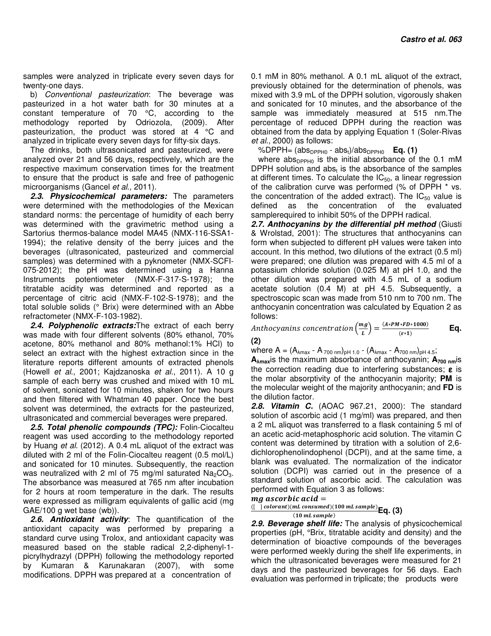samples were analyzed in triplicate every seven days for twenty-one days.

b) Conventional pasteurization: The beverage was pasteurized in a hot water bath for 30 minutes at a constant temperature of 70 °C, according to the methodology reported by Odriozola, (2009). After pasteurization, the product was stored at 4 °C and analyzed in triplicate every seven days for fifty-six days.

The drinks, both ultrasonicated and pasteurized, were analyzed over 21 and 56 days, respectively, which are the respective maximum conservation times for the treatment to ensure that the product is safe and free of pathogenic microorganisms (Gancel et al., 2011).

*2.3. Physicochemical parameters:* The parameters were determined with the methodologies of the Mexican standard norms: the percentage of humidity of each berry was determined with the gravimetric method using a Sartorius thermos-balance model MA45 (NMX-116-SSA1- 1994); the relative density of the berry juices and the beverages (ultrasonicated, pasteurized and commercial samples) was determined with a pyknometer (NMX-SCFI-075-2012); the pH was determined using a Hanna Instruments potentiometer (NMX-F-317-S-1978); the titratable acidity was determined and reported as a percentage of citric acid (NMX-F-102-S-1978); and the total soluble solids (° Brix) were determined with an Abbe refractometer (NMX-F-103-1982).

*2.4. Polyphenolic extracts:*The extract of each berry was made with four different solvents (80% ethanol, 70% acetone, 80% methanol and 80% methanol:1% HCl) to select an extract with the highest extraction since in the literature reports different amounts of extracted phenols (Howell et al., 2001; Kajdzanoska et al., 2011). A 10 g sample of each berry was crushed and mixed with 10 mL of solvent, sonicated for 10 minutes, shaken for two hours and then filtered with Whatman 40 paper. Once the best solvent was determined, the extracts for the pasteurized, ultrasonicated and commercial beverages were prepared.

*2.5. Total phenolic compounds (TPC):* Folin-Ciocalteu reagent was used according to the methodology reported by Huang et al. (2012). A 0.4 mL aliquot of the extract was diluted with 2 ml of the Folin-Ciocalteu reagent (0.5 mol/L) and sonicated for 10 minutes. Subsequently, the reaction was neutralized with 2 ml of 75 mg/ml saturated  $Na<sub>2</sub>CO<sub>3</sub>$ . The absorbance was measured at 765 nm after incubation for 2 hours at room temperature in the dark. The results were expressed as milligram equivalents of gallic acid (mg GAE/100 g wet base (wb)).

*2.6. Antioxidant activity*: The quantification of the antioxidant capacity was performed by preparing a standard curve using Trolox, and antioxidant capacity was measured based on the stable radical 2,2-diphenyl-1 picrylhydrazyl (DPPH) following the methodology reported by Kumaran & Karunakaran (2007), with some modifications. DPPH was prepared at a concentration of

0.1 mM in 80% methanol. A 0.1 mL aliquot of the extract, previously obtained for the determination of phenols, was mixed with 3.9 mL of the DPPH solution, vigorously shaken and sonicated for 10 minutes, and the absorbance of the sample was immediately measured at 515 nm.The percentage of reduced DPPH during the reaction was obtained from the data by applying Equation 1 (Soler-Rivas et al., 2000) as follows:

%DPPH=  $(abs_{DPPH0} - abs_t)/abs_{DPPH0}$  **Eq. (1)** 

where abs $_{DPPH0}$  is the initial absorbance of the 0.1 mM DPPH solution and abs<sub>t</sub> is the absorbance of the samples at different times. To calculate the  $IC_{50}$ , a linear regression of the calibration curve was performed (% of DPPH \* vs. the concentration of the added extract). The  $IC_{50}$  value is defined as the concentration of the evaluated samplerequired to inhibit 50% of the DPPH radical.

*2.7. Anthocyanins by the differential pH method* (Giusti & Wrolstad, 2001): The structures that anthocyanins can form when subjected to different pH values were taken into account. In this method, two dilutions of the extract (0.5 ml) were prepared; one dilution was prepared with 4.5 ml of a potassium chloride solution (0.025 M) at pH 1.0, and the other dilution was prepared with 4.5 mL of a sodium acetate solution (0.4 M) at pH 4.5. Subsequently, a spectroscopic scan was made from 510 nm to 700 nm. The anthocyanin concentration was calculated by Equation 2 as follows:

Anthocyanins concentration  $\left(\frac{mg}{L}\right) = \frac{(A*BM*FD*1000)}{(\varepsilon*1)}$  **Eq.** 

**(2)** 

where  $A = (A_{\lambda max} - A_{700 \text{ nm}})_{\text{pH 1.0}} - (A_{\lambda max} - A_{700 \text{ nm}})_{\text{pH 4.5}}$ ;

**A<sup>λ</sup>max**is the maximum absorbance of anthocyanin; **A700 nm**is the correction reading due to interfering substances;  $\varepsilon$  is the molar absorptivity of the anthocyanin majority; **PM** is the molecular weight of the majority anthocyanin; and **FD** is the dilution factor.

*2.8. Vitamin C.* (AOAC 967.21, 2000): The standard solution of ascorbic acid (1 mg/ml) was prepared, and then a 2 mL aliquot was transferred to a flask containing 5 ml of an acetic acid-metaphosphoric acid solution. The vitamin C content was determined by titration with a solution of 2,6 dichlorophenolindophenol (DCPI), and at the same time, a blank was evaluated. The normalization of the indicator solution (DCPI) was carried out in the presence of a standard solution of ascorbic acid. The calculation was performed with Equation 3 as follows:

## $mg$  ascorbic acid  $=$

 $([ \ \ ]$  colorant) $(mL \; consumed)(100 \; mL \; sample)$  $\frac{(10 mL sample)}{(10 mL sample)}$  Eq. (3)

*2.9. Beverage shelf life:* The analysis of physicochemical properties (pH, °Brix, titratable acidity and density) and the determination of bioactive compounds of the beverages were performed weekly during the shelf life experiments, in which the ultrasonicated beverages were measured for 21 days and the pasteurized beverages for 56 days. Each evaluation was performed in triplicate; the products were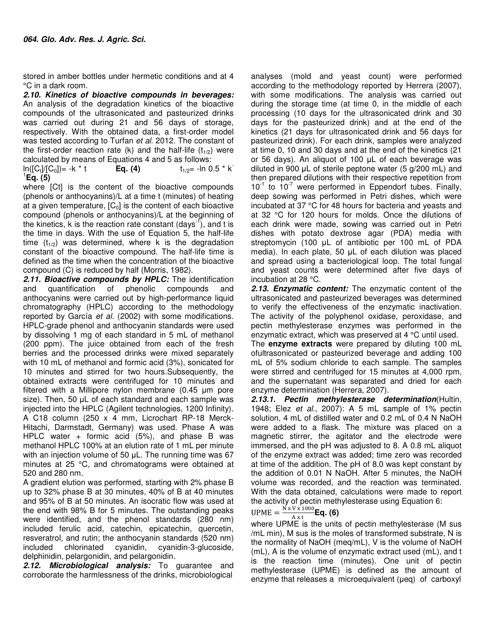stored in amber bottles under hermetic conditions and at 4 °C in a dark room.

*2.10. Kinetics of bioactive compounds in beverages:* An analysis of the degradation kinetics of the bioactive compounds of the ultrasonicated and pasteurized drinks was carried out during 21 and 56 days of storage, respectively. With the obtained data, a first-order model was tested according to Turfan et al. 2012. The constant of the first-order reaction rate (k) and the half-life  $(t_{1/2})$  were calculated by means of Equations 4 and 5 as follows:

 $\ln([C_t]/[C_0]) = -k * t$ **Eq. (4)**  $t_{1/2} = -\ln 0.5 * k$ 1 **Eq. (5)**

where [Ct] is the content of the bioactive compounds (phenols or anthocyanins)/L at a time t (minutes) of heating at a given temperature,  $[C_0]$  is the content of each bioactive compound (phenols or anthocyanins)/L at the beginning of the kinetics, k is the reaction rate constant  $\frac{days^{-1}}{y}$ , and t is the time in days. With the use of Equation 5, the half-life time  $(t_{1/2})$  was determined, where k is the degradation constant of the bioactive compound. The half-life time is defined as the time when the concentration of the bioactive compound (C) is reduced by half (Morris, 1982).

*2.11. Bioactive compounds by HPLC:* The identification and quantification of phenolic compounds and anthocyanins were carried out by high-performance liquid chromatography (HPLC) according to the methodology reported by García et al. (2002) with some modifications. HPLC-grade phenol and anthocyanin standards were used by dissolving 1 mg of each standard in 5 mL of methanol (200 ppm). The juice obtained from each of the fresh berries and the processed drinks were mixed separately with 10 mL of methanol and formic acid (3%), sonicated for 10 minutes and stirred for two hours.Subsequently, the obtained extracts were centrifuged for 10 minutes and filtered with a Millipore nylon membrane (0.45 µm pore size). Then, 50  $\mu$ L of each standard and each sample was injected into the HPLC (Agilent technologies, 1200 Infinity). A C18 column (250 x 4 mm, Licrochart RP-18 Merck-Hitachi, Darmstadt, Germany) was used. Phase A was HPLC water + formic acid (5%), and phase B was methanol HPLC 100% at an elution rate of 1 mL per minute with an injection volume of 50 µL. The running time was 67 minutes at 25 °C, and chromatograms were obtained at 520 and 280 nm.

A gradient elution was performed, starting with 2% phase B up to 32% phase B at 30 minutes, 40% of B at 40 minutes and 95% of B at 50 minutes. An isocratic flow was used at the end with 98% B for 5 minutes. The outstanding peaks were identified, and the phenol standards (280 nm) included ferulic acid, catechin, epicatechin, quercetin, resveratrol, and rutin; the anthocyanin standards (520 nm) included chlorinated cyanidin, cyanidin-3-glucoside, delphinidin, pelargonidin, and pelargonidin.

*2.12. Microbiological analysis:* To guarantee and corroborate the harmlessness of the drinks, microbiological

analyses (mold and yeast count) were performed according to the methodology reported by Herrera (2007), with some modifications. The analysis was carried out during the storage time (at time 0, in the middle of each processing (10 days for the ultrasonicated drink and 30 days for the pasteurized drink) and at the end of the kinetics (21 days for ultrasonicated drink and 56 days for pasteurized drink). For each drink, samples were analyzed at time 0, 10 and 30 days and at the end of the kinetics (21 or 56 days). An aliquot of 100 µL of each beverage was diluted in 900 µL of sterile peptone water (5 g/200 mL) and then prepared dilutions with their respective repetition from  $10^{-1}$  to  $10^{-7}$  were performed in Eppendorf tubes. Finally, deep sowing was performed in Petri dishes, which were incubated at 37 °C for 48 hours for bacteria and yeasts and at 32 °C for 120 hours for molds. Once the dilutions of each drink were made, sowing was carried out in Petri dishes with potato dextrose agar (PDA) media with streptomycin (100 µL of antibiotic per 100 mL of PDA media). In each plate, 50 µL of each dilution was placed and spread using a bacteriological loop. The total fungal and yeast counts were determined after five days of incubation at 28 °C.

*2.13. Enzymatic content:* The enzymatic content of the ultrasonicated and pasteurized beverages was determined to verify the effectiveness of the enzymatic inactivation. The activity of the polyphenol oxidase, peroxidase, and pectin methylesterase enzymes was performed in the enzymatic extract, which was preserved at 4 °C until used.

The **enzyme extracts** were prepared by diluting 100 mL ofultrasonicated or pasteurized beverage and adding 100 mL of 5% sodium chloride to each sample. The samples were stirred and centrifuged for 15 minutes at 4,000 rpm, and the supernatant was separated and dried for each enzyme determination (Herrera, 2007).

*2.13.1. Pectin methylesterase determination*(Hultin, 1948; Elez et al., 2007): A 5 mL sample of 1% pectin solution, 4 mL of distilled water and 0.2 mL of 0.4 N NaOH were added to a flask. The mixture was placed on a magnetic stirrer, the agitator and the electrode were immersed, and the pH was adjusted to 8. A 0.8 mL aliquot of the enzyme extract was added; time zero was recorded at time of the addition. The pH of 8.0 was kept constant by the addition of 0.01 N NaOH. After 5 minutes, the NaOH volume was recorded, and the reaction was terminated. With the data obtained, calculations were made to report the activity of pectin methylesterase using Equation 6:

UPME = 
$$
\frac{N x V x 1000}{A x t}
$$
Eq. (6)

where UPME is the units of pectin methylesterase (M sus /mL min), M sus is the moles of transformed substrate, N is the normality of NaOH (meq/mL), V is the volume of NaOH (mL), A is the volume of enzymatic extract used (mL), and t is the reaction time (minutes). One unit of pectin methylesterase (UPME) is defined as the amount of enzyme that releases a microequivalent (µeq) of carboxyl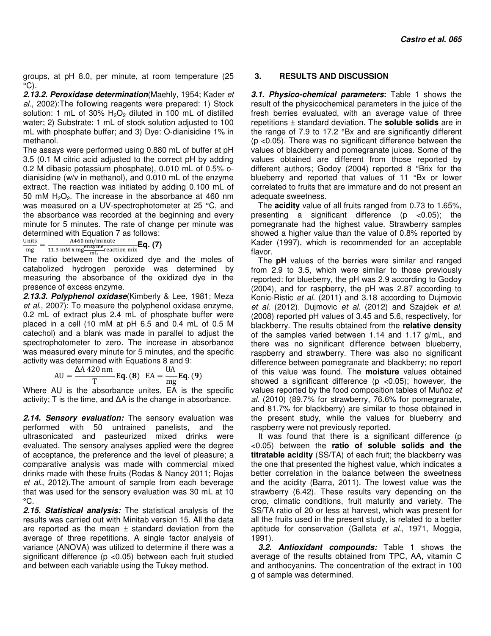groups, at pH 8.0, per minute, at room temperature (25  $\mathrm{^{\circ}C}$ ).

*2.13.2. Peroxidase determination*(Maehly, 1954; Kader et al., 2002):The following reagents were prepared: 1) Stock solution: 1 mL of 30%  $H_2O_2$  diluted in 100 mL of distilled water; 2) Substrate: 1 mL of stock solution adjusted to 100 mL with phosphate buffer; and 3) Dye: O-dianisidine 1% in methanol.

The assays were performed using 0.880 mL of buffer at pH 3.5 (0.1 M citric acid adjusted to the correct pH by adding 0.2 M dibasic potassium phosphate), 0.010 mL of 0.5% odianisidine (w/v in methanol), and 0.010 mL of the enzyme extract. The reaction was initiated by adding 0.100 mL of 50 mM  $H_2O_2$ . The increase in the absorbance at 460 nm was measured on a UV-spectrophotometer at 25 °C, and the absorbance was recorded at the beginning and every minute for 5 minutes. The rate of change per minute was determined with Equation 7 as follows:<br>
Units  $A460 \text{ nm/minute}$ 

 $\frac{\text{Units}}{\text{ma}} =$ mg A460 nm/minute<br>11.3 mM x mg  $\frac{\text{enzyme}}{\text{mL}}$  reaction mix **Eq. (7)** 

The ratio between the oxidized dye and the moles of catabolized hydrogen peroxide was determined by measuring the absorbance of the oxidized dye in the presence of excess enzyme.

*2.13.3. Polyphenol oxidase*(Kimberly & Lee, 1981; Meza et al., 2007): To measure the polyphenol oxidase enzyme, 0.2 mL of extract plus 2.4 mL of phosphate buffer were placed in a cell (10 mM at pH 6.5 and 0.4 mL of 0.5 M catechol) and a blank was made in parallel to adjust the spectrophotometer to zero. The increase in absorbance was measured every minute for 5 minutes, and the specific activity was determined with Equations 8 and 9:

$$
AU = \frac{\Delta A 420 \text{ nm}}{T} \mathbf{Eq. (8)} \quad EA = \frac{UA}{mg} \mathbf{Eq. (9)}
$$

Where AU is the absorbance unites, EA is the specific activity; T is the time, and ∆A is the change in absorbance.

*2.14. Sensory evaluation:* The sensory evaluation was performed with 50 untrained panelists, and the ultrasonicated and pasteurized mixed drinks were evaluated. The sensory analyses applied were the degree of acceptance, the preference and the level of pleasure; a comparative analysis was made with commercial mixed drinks made with these fruits (Rodas & Nancy 2011; Rojas et al., 2012).The amount of sample from each beverage that was used for the sensory evaluation was 30 mL at 10  $^{\circ}$ C.

*2.15. Statistical analysis:* The statistical analysis of the results was carried out with Minitab version 15. All the data are reported as the mean  $\pm$  standard deviation from the average of three repetitions. A single factor analysis of variance (ANOVA) was utilized to determine if there was a significant difference (p <0.05) between each fruit studied and between each variable using the Tukey method.

## **3. RESULTS AND DISCUSSION**

*3.1. Physico-chemical parameters***:** Table 1 shows the result of the physicochemical parameters in the juice of the fresh berries evaluated, with an average value of three repetitions ± standard deviation. The **soluble solids** are in the range of 7.9 to 17.2 °Bx and are significantly different (p <0.05). There was no significant difference between the values of blackberry and pomegranate juices. Some of the values obtained are different from those reported by different authors; Godoy (2004) reported 8 °Brix for the blueberry and reported that values of 11 °Bx or lower correlated to fruits that are immature and do not present an adequate sweetness.

The **acidity** value of all fruits ranged from 0.73 to 1.65%, presenting a significant difference  $(p \lt 0.05)$ ; the pomegranate had the highest value. Strawberry samples showed a higher value than the value of 0.8% reported by Kader (1997), which is recommended for an acceptable flavor.

The **pH** values of the berries were similar and ranged from 2.9 to 3.5, which were similar to those previously reported: for blueberry, the pH was 2.9 according to Godoy (2004), and for raspberry, the pH was 2.87 according to Konic-Ristic et al. (2011) and 3.18 according to Dujmovic et al. (2012). Dujmovic et al. (2012) and Szajdek et al. (2008) reported pH values of 3.45 and 5.6, respectively, for blackberry. The results obtained from the **relative density** of the samples varied between 1.14 and 1.17 g/mL, and there was no significant difference between blueberry, raspberry and strawberry. There was also no significant difference between pomegranate and blackberry; no report of this value was found. The **moisture** values obtained showed a significant difference ( $p$  <0.05); however, the values reported by the food composition tables of Muñoz et al. (2010) (89.7% for strawberry, 76.6% for pomegranate, and 81.7% for blackberry) are similar to those obtained in the present study, while the values for blueberry and raspberry were not previously reported.

It was found that there is a significant difference (p <0.05) between the **ratio of soluble solids and the titratable acidity** (SS/TA) of each fruit; the blackberry was the one that presented the highest value, which indicates a better correlation in the balance between the sweetness and the acidity (Barra, 2011). The lowest value was the strawberry (6.42). These results vary depending on the crop, climatic conditions, fruit maturity and variety. The SS/TA ratio of 20 or less at harvest, which was present for all the fruits used in the present study, is related to a better aptitude for conservation (Galleta et al., 1971, Moggia, 1991).

*3.2. Antioxidant compounds:* Table 1 shows the average of the results obtained from TPC, AA, vitamin C and anthocyanins. The concentration of the extract in 100 g of sample was determined.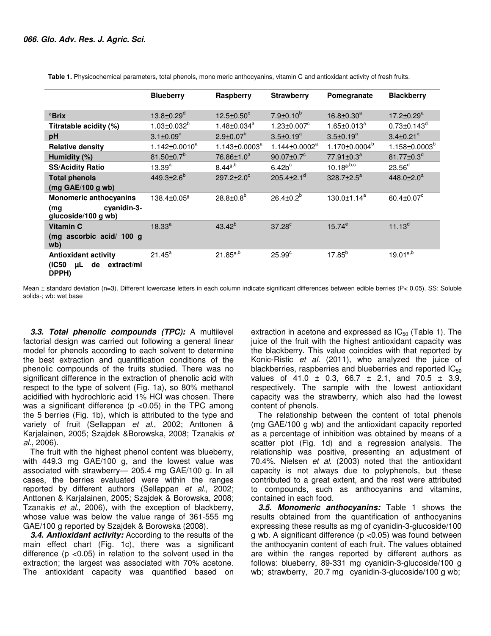|                                                                         | <b>Blueberry</b>             | Raspberry                   | <b>Strawberry</b>             | Pomegranate               | <b>Blackberry</b>            |
|-------------------------------------------------------------------------|------------------------------|-----------------------------|-------------------------------|---------------------------|------------------------------|
| <b><sup>o</sup>Brix</b>                                                 | $13.8 \pm 0.29$ <sup>d</sup> | $12.5 \pm 0.50^{\circ}$     | $7.9 \pm 0.10^b$              | $16.8 \pm 0.30^a$         | $17.2 \pm 0.29^a$            |
| Titratable acidity (%)                                                  | $1.03 \pm 0.032^{b}$         | $1.48 \pm 0.034^a$          | $1.23 \pm 0.007$ <sup>c</sup> | $1.65 \pm 0.013^a$        | $0.73 \pm 0.143^d$           |
| pH                                                                      | $3.1 \pm 0.09^{\circ}$       | $2.9 \pm 0.07^b$            | $3.5 \pm 0.19^a$              | $3.5 \pm 0.19^a$          | $3.4 \pm 0.21$ <sup>a</sup>  |
| <b>Relative density</b>                                                 | $1.142 \pm 0.0010^a$         | $1.143 \pm 0.0003^a$        | $1.144 \pm 0.0002^a$          | 1.170±0.0004 <sup>b</sup> | $1.158 \pm 0.0003^b$         |
| Humidity (%)                                                            | 81.50 $\pm$ 0.7 $^{\circ}$   | 76.86±1.0 <sup>a</sup>      | $90.07 \pm 0.7$ <sup>c</sup>  | 77.91±0.3 <sup>a</sup>    | $81.77 \pm 0.3^d$            |
| <b>SS/Acidity Ratio</b>                                                 | $13.39^{a}$                  | $8.44^{a,b}$                | $6.42b^c$                     | $10.18^{a,b,c}$           | 23.56 <sup>d</sup>           |
| <b>Total phenols</b>                                                    | $449.3{\pm}2.6^{b}$          | $297.2 \pm 2.0^c$           | 205.4 $\pm$ 2.1 <sup>d</sup>  | 328.7±2.5 <sup>a</sup>    | 448.0 $\pm$ 2.0 <sup>a</sup> |
| $(mg \text{ GAE}/100 g \text{ wb})$                                     |                              |                             |                               |                           |                              |
| <b>Monomeric anthocyanins</b>                                           | 138.4±0.05ª                  | $28.8 \pm 0.8$ <sup>b</sup> | $26.4 \pm 0.2^{b}$            | $130.0 \pm 1.14^a$        | 60.4 $\pm$ 0.07 $\mathrm{c}$ |
| cyanidin-3-<br>(mg<br>glucoside/100 g wb)                               |                              |                             |                               |                           |                              |
| <b>Vitamin C</b>                                                        | $18.33^{a}$                  | $43.42^{b}$                 | $37.28^{\circ}$               | $15.74^{e}$               | $11.13^{d}$                  |
| (mg ascorbic acid/ 100 g<br>wb)                                         |                              |                             |                               |                           |                              |
| <b>Antioxidant activity</b><br>(IC50<br>de<br>extract/ml<br>uL<br>DPPH) | $21.45^a$                    | $21.85^{a,b}$               | 25.99 <sup>c</sup>            | $17.85^{b}$               | $19.01^{a,b}$                |

 **Table 1.** Physicochemical parameters, total phenols, mono meric anthocyanins, vitamin C and antioxidant activity of fresh fruits.

Mean ± standard deviation (n=3). Different lowercase letters in each column indicate significant differences between edible berries (P< 0.05). SS: Soluble solids-; wb: wet base

*3.3. Total phenolic compounds (TPC):* A multilevel factorial design was carried out following a general linear model for phenols according to each solvent to determine the best extraction and quantification conditions of the phenolic compounds of the fruits studied. There was no significant difference in the extraction of phenolic acid with respect to the type of solvent (Fig. 1a), so 80% methanol acidified with hydrochloric acid 1% HCl was chosen. There was a significant difference (p <0.05) in the TPC among the 5 berries (Fig. 1b), which is attributed to the type and variety of fruit (Sellappan et al., 2002; Anttonen & Karjalainen, 2005; Szajdek &Borowska, 2008; Tzanakis et al., 2006).

The fruit with the highest phenol content was blueberry, with 449.3 mg GAE/100 g, and the lowest value was associated with strawberry— 205.4 mg GAE/100 g. In all cases, the berries evaluated were within the ranges reported by different authors (Sellappan et al., 2002; Anttonen & Karjalainen, 2005; Szajdek & Borowska, 2008; Tzanakis et al., 2006), with the exception of blackberry, whose value was below the value range of 361-555 mg GAE/100 g reported by Szajdek & Borowska (2008).

*3.4. Antioxidant activity:* According to the results of the main effect chart (Fig. 1c), there was a significant difference ( $p$  <0.05) in relation to the solvent used in the extraction; the largest was associated with 70% acetone. The antioxidant capacity was quantified based on extraction in acetone and expressed as  $IC_{50}$  (Table 1). The juice of the fruit with the highest antioxidant capacity was the blackberry. This value coincides with that reported by Konic-Ristic et al. (2011), who analyzed the juice of blackberries, raspberries and blueberries and reported  $IC_{50}$ values of 41.0  $\pm$  0.3, 66.7  $\pm$  2.1, and 70.5  $\pm$  3.9, respectively. The sample with the lowest antioxidant capacity was the strawberry, which also had the lowest content of phenols.

The relationship between the content of total phenols (mg GAE/100 g wb) and the antioxidant capacity reported as a percentage of inhibition was obtained by means of a scatter plot (Fig. 1d) and a regression analysis. The relationship was positive, presenting an adjustment of 70.4%. Nielsen et al. (2003) noted that the antioxidant capacity is not always due to polyphenols, but these contributed to a great extent, and the rest were attributed to compounds, such as anthocyanins and vitamins, contained in each food.

*3.5. Monomeric anthocyanins:* Table 1 shows the results obtained from the quantification of anthocyanins expressing these results as mg of cyanidin-3-glucoside/100 g wb. A significant difference (p <0.05) was found between the anthocyanin content of each fruit. The values obtained are within the ranges reported by different authors as follows: blueberry, 89-331 mg cyanidin-3-glucoside/100 g wb; strawberry, 20.7 mg cyanidin-3-glucoside/100 g wb;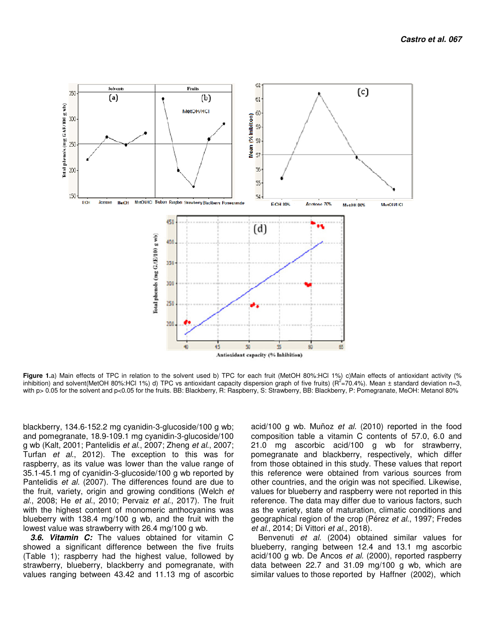

Figure 1.a) Main effects of TPC in relation to the solvent used b) TPC for each fruit (MetOH 80%:HCl 1%) c)Main effects of antioxidant activity (% inhibition) and solvent(MetOH 80%:HCl 1%) d) TPC vs antioxidant capacity dispersion graph of five fruits) ( $R^2 = 70.4$ %). Mean  $\pm$  standard deviation n=3, with p> 0.05 for the solvent and p<0.05 for the fruits. BB: Blackberry, R: Raspberry, S: Strawberry, BB: Blackberry, P: Pomegranate, MeOH: Metanol 80%

blackberry, 134.6-152.2 mg cyanidin-3-glucoside/100 g wb; and pomegranate, 18.9-109.1 mg cyanidin-3-glucoside/100 g wb (Kalt, 2001; Pantelidis et al., 2007; Zheng et al., 2007; Turfan et al., 2012). The exception to this was for raspberry, as its value was lower than the value range of 35.1-45.1 mg of cyanidin-3-glucoside/100 g wb reported by Pantelidis et al. (2007). The differences found are due to the fruit, variety, origin and growing conditions (Welch et al., 2008; He et al., 2010; Pervaiz et al., 2017). The fruit with the highest content of monomeric anthocyanins was blueberry with 138.4 mg/100 g wb, and the fruit with the lowest value was strawberry with 26.4 mg/100 g wb.

*3.6. Vitamin C:* The values obtained for vitamin C showed a significant difference between the five fruits (Table 1); raspberry had the highest value, followed by strawberry, blueberry, blackberry and pomegranate, with values ranging between 43.42 and 11.13 mg of ascorbic acid/100 g wb. Muñoz et al. (2010) reported in the food composition table a vitamin C contents of 57.0, 6.0 and 21.0 mg ascorbic acid/100 g wb for strawberry, pomegranate and blackberry, respectively, which differ from those obtained in this study. These values that report this reference were obtained from various sources from other countries, and the origin was not specified. Likewise, values for blueberry and raspberry were not reported in this reference. The data may differ due to various factors, such as the variety, state of maturation, climatic conditions and geographical region of the crop (Pérez et al., 1997; Fredes et al., 2014; Di Vittori et al., 2018).

Benvenuti et al. (2004) obtained similar values for blueberry, ranging between 12.4 and 13.1 mg ascorbic acid/100 g wb. De Ancos et al. (2000), reported raspberry data between 22.7 and 31.09 mg/100 g wb, which are similar values to those reported by Haffner (2002), which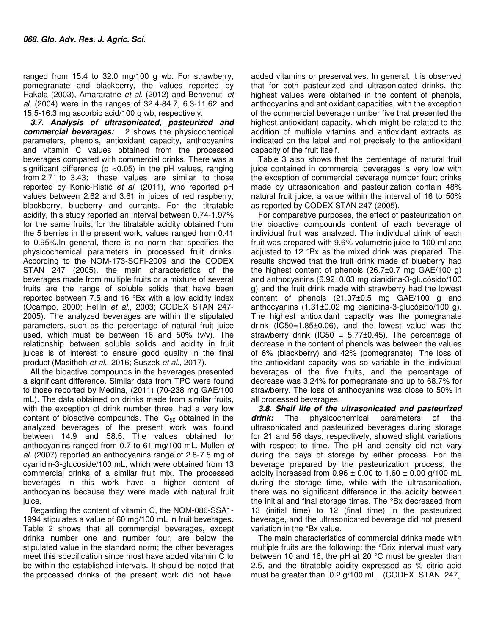ranged from 15.4 to 32.0 mg/100 g wb. For strawberry, pomegranate and blackberry, the values reported by Hakala (2003), Amararatne et al. (2012) and Benvenuti et al. (2004) were in the ranges of 32.4-84.7, 6.3-11.62 and 15.5-16.3 mg ascorbic acid/100 g wb, respectively.

*3.7. Analysis of ultrasonicated, pasteurized and commercial beverages:* 2 shows the physicochemical parameters, phenols, antioxidant capacity, anthocyanins and vitamin C values obtained from the processed beverages compared with commercial drinks. There was a significant difference ( $p$  <0.05) in the  $p$ H values, ranging from 2.71 to 3.43; these values are similar to those reported by Konić-Ristić et al. (2011), who reported pH values between 2.62 and 3.61 in juices of red raspberry, blackberry, blueberry and currants. For the titratable acidity, this study reported an interval between 0.74-1.97% for the same fruits; for the titratable acidity obtained from the 5 berries in the present work, values ranged from 0.41 to 0.95%.In general, there is no norm that specifies the physicochemical parameters in processed fruit drinks. According to the NOM-173-SCFI-2009 and the CODEX STAN 247 (2005), the main characteristics of the beverages made from multiple fruits or a mixture of several fruits are the range of soluble solids that have been reported between 7.5 and 16 °Bx with a low acidity index (Ocampo, 2000; Hellín et al., 2003; CODEX STAN 247- 2005). The analyzed beverages are within the stipulated parameters, such as the percentage of natural fruit juice used, which must be between 16 and 50% (v/v). The relationship between soluble solids and acidity in fruit juices is of interest to ensure good quality in the final product (Masithoh et al., 2016; Suszek et al., 2017).

All the bioactive compounds in the beverages presented a significant difference. Similar data from TPC were found to those reported by Medina, (2011) (70-238 mg GAE/100 mL). The data obtained on drinks made from similar fruits, with the exception of drink number three, had a very low content of bioactive compounds. The  $IC_{50}$  obtained in the analyzed beverages of the present work was found between 14.9 and 58.5. The values obtained for anthocyanins ranged from 0.7 to 61 mg/100 mL. Mullen et al. (2007) reported an anthocyanins range of 2.8-7.5 mg of cyanidin-3-glucoside/100 mL, which were obtained from 13 commercial drinks of a similar fruit mix. The processed beverages in this work have a higher content of anthocyanins because they were made with natural fruit juice.

Regarding the content of vitamin C, the NOM-086-SSA1- 1994 stipulates a value of 60 mg/100 mL in fruit beverages. Table 2 shows that all commercial beverages, except drinks number one and number four, are below the stipulated value in the standard norm; the other beverages meet this specification since most have added vitamin C to be within the established intervals. It should be noted that the processed drinks of the present work did not have

added vitamins or preservatives. In general, it is observed that for both pasteurized and ultrasonicated drinks, the highest values were obtained in the content of phenols, anthocyanins and antioxidant capacities, with the exception of the commercial beverage number five that presented the highest antioxidant capacity, which might be related to the addition of multiple vitamins and antioxidant extracts as indicated on the label and not precisely to the antioxidant capacity of the fruit itself.

Table 3 also shows that the percentage of natural fruit juice contained in commercial beverages is very low with the exception of commercial beverage number four; drinks made by ultrasonication and pasteurization contain 48% natural fruit juice, a value within the interval of 16 to 50% as reported by CODEX STAN 247 (2005).

For comparative purposes, the effect of pasteurization on the bioactive compounds content of each beverage of individual fruit was analyzed. The individual drink of each fruit was prepared with 9.6% volumetric juice to 100 ml and adjusted to 12 °Bx as the mixed drink was prepared. The results showed that the fruit drink made of blueberry had the highest content of phenols (26.7±0.7 mg GAE/100 g) and anthocyanins (6.92±0.03 mg cianidina-3-glucósido/100 g) and the fruit drink made with strawberry had the lowest content of phenols (21.07±0.5 mg GAE/100 g and anthocyanins (1.31±0.02 mg cianidina-3-glucósido/100 g). The highest antioxidant capacity was the pomegranate drink (IC50=1.85±0.06), and the lowest value was the strawberry drink (IC50 =  $5.77\pm0.45$ ). The percentage of decrease in the content of phenols was between the values of 6% (blackberry) and 42% (pomegranate). The loss of the antioxidant capacity was so variable in the individual beverages of the five fruits, and the percentage of decrease was 3.24% for pomegranate and up to 68.7% for strawberry. The loss of anthocyanins was close to 50% in all processed beverages.

*3.8. Shelf life of the ultrasonicated and pasteurized drink:* The physicochemical parameters of the ultrasonicated and pasteurized beverages during storage for 21 and 56 days, respectively, showed slight variations with respect to time. The pH and density did not vary during the days of storage by either process. For the beverage prepared by the pasteurization process, the acidity increased from  $0.96 \pm 0.00$  to  $1.60 \pm 0.00$  g/100 mL during the storage time, while with the ultrasonication, there was no significant difference in the acidity between the initial and final storage times. The °Bx decreased from 13 (initial time) to 12 (final time) in the pasteurized beverage, and the ultrasonicated beverage did not present variation in the °Bx value.

The main characteristics of commercial drinks made with multiple fruits are the following: the °Brix interval must vary between 10 and 16, the pH at 20 °C must be greater than 2.5, and the titratable acidity expressed as % citric acid must be greater than 0.2 g/100 mL (CODEX STAN 247,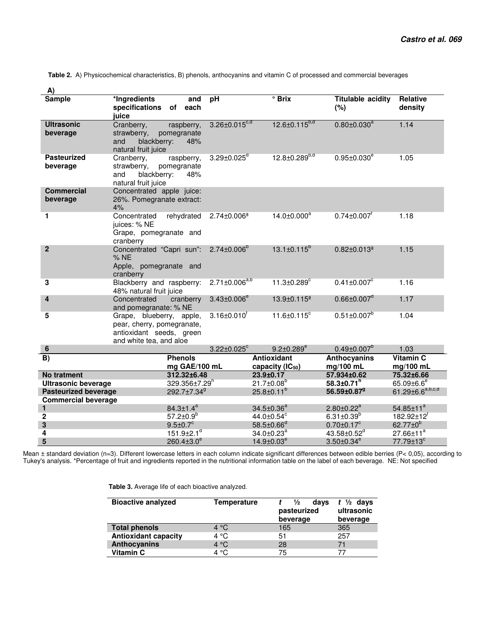**Table 2.** A) Physicochemical characteristics, B) phenols, anthocyanins and vitamin C of processed and commercial beverages

| <b>Sample</b>                                             | *Ingredients<br>and<br>specifications of<br>each<br>iuice                                                     | pH                            | $^{\circ}$ Brix                        | <b>Titulable acidity</b><br>(%)                         | Relative<br>density                                     |
|-----------------------------------------------------------|---------------------------------------------------------------------------------------------------------------|-------------------------------|----------------------------------------|---------------------------------------------------------|---------------------------------------------------------|
| <b>Ultrasonic</b><br>beverage                             | Cranberry,<br>raspberry,<br>strawberry,<br>pomegranate<br>blackberry:<br>and<br>48%<br>natural fruit juice    | $3.26 \pm 0.015^{c,d}$        | $12.6 \pm 0.115^{b,d}$                 | $0.80 \pm 0.030^a$                                      | 1.14                                                    |
| <b>Pasteurized</b><br>beverage                            | Cranberry,<br>raspberry,<br>pomegranate<br>strawberry,<br>blackberry:<br>48%<br>and<br>natural fruit juice    | $3.29 \pm 0.025$ <sup>d</sup> | $12.8 \pm 0.289^{b,d}$                 | $0.95 \pm 0.030^e$                                      | 1.05                                                    |
| <b>Commercial</b><br>beverage                             | Concentrated apple juice:<br>26%. Pomegranate extract:<br>4%                                                  |                               |                                        |                                                         |                                                         |
| 1.                                                        | Concentrated<br>rehydrated<br>juices: % NE<br>Grape, pomegranate and<br>cranberry                             | 2.74±0.006ª                   | $14.0 \pm 0.000^a$                     | $0.74 \pm 0.007$ <sup>f</sup>                           | 1.18                                                    |
| $\overline{2}$                                            | Concentrated "Capri sun":<br>% NE<br>Apple, pomegranate and<br>cranberry                                      | $2.74 \pm 0.006^b$            | $13.1 \pm 0.115^b$                     | $0.82 \pm 0.013$ <sup>a</sup>                           | 1.15                                                    |
| 3                                                         | Blackberry and raspberry:<br>48% natural fruit juice                                                          | $2.71 \pm 0.006^{a,b}$        | $11.3 \pm 0.289$ <sup>c</sup>          | $0.41 \pm 0.007$ <sup>c</sup>                           | 1.16                                                    |
| $\overline{\mathbf{4}}$                                   | Concentrated<br>cranberry<br>and pomegranate: % NE                                                            | $3.43 \pm 0.006^e$            | 13.9±0.115ª                            | $0.66 \pm 0.007$ <sup>d</sup>                           | 1.17                                                    |
| 5                                                         | Grape, blueberry, apple,<br>pear, cherry, pomegranate,<br>antioxidant seeds, green<br>and white tea, and aloe | $3.16 \pm 0.010$ <sup>r</sup> | $11.6 \pm 0.115$ <sup>c</sup>          | $0.51 \pm 0.007^b$                                      | 1.04                                                    |
| $\bf 6$                                                   |                                                                                                               | $3.22 \pm 0.025$ °            | $9.2 \pm 0.289^e$                      | $0.49 \pm 0.007^b$                                      | 1.03                                                    |
| $\overline{B}$                                            | <b>Phenols</b>                                                                                                |                               | <b>Antioxidant</b>                     | <b>Anthocyanins</b>                                     | <b>Vitamin C</b>                                        |
|                                                           | mg GAE/100 mL                                                                                                 |                               | capacity (IC <sub>50</sub> )           | mg/100 mL                                               | mg/100 mL                                               |
| <b>No tratment</b>                                        | 312.32±6.48                                                                                                   |                               | 23.9±0.17                              | 57.934±0.62                                             | 75.32±6.66                                              |
| <b>Ultrasonic beverage</b><br><b>Pasteurized beverage</b> | 329.356±7.29 <sup>h</sup><br>292.7±7.34 <sup>9</sup>                                                          |                               | $21.7 \pm 0.08^b$<br>$25.8 \pm 0.11^b$ | $58.3 \pm 0.71$ <sup>n</sup><br>56.59±0.87 <sup>9</sup> | $65.09 \pm 6.6^e$<br>61.29 $\pm$ 6.6 <sup>a,b,c,d</sup> |
| <b>Commercial beverage</b>                                |                                                                                                               |                               |                                        |                                                         |                                                         |
| $\mathbf{1}$                                              | $84.3 \pm 1.4^a$                                                                                              |                               | $34.5 \pm 0.36^a$                      | $2.80 \pm 0.22^a$                                       | $54.85 \pm 11^a$                                        |
| $\mathbf 2$                                               | $57.2 \pm 0.9^b$                                                                                              |                               | $44.0 \pm 0.54$ <sup>c</sup>           | $6.31 \pm 0.39^b$                                       | $182.92 \pm 12^{f}$                                     |
| 3                                                         | $9.5 \pm 0.7^c$                                                                                               |                               | $58.5 \pm 0.66$ <sup>d</sup>           | $0.70 \pm 0.17$ <sup>c</sup>                            | $62.77 \pm 0^6$                                         |
| 4                                                         | $151.9 \pm 2.1$ <sup>d</sup>                                                                                  |                               | $34.0 \pm 0.23$ <sup>a</sup>           | 43.58 $\pm$ 0.52 <sup>d</sup>                           | $27.66 \pm 11^a$                                        |
| 5                                                         | $260.4 \pm 3.0^e$                                                                                             |                               | $14.9 \pm 0.03^e$                      | $3.50 \pm 0.34^e$                                       | 77.79±13°                                               |

Mean ± standard deviation (n=3). Different lowercase letters in each column indicate significant differences between edible berries (P< 0,05), according to Tukey's analysis. \*Percentage of fruit and ingredients reported in the nutritional information table on the label of each beverage. NE: Not specified

 **Table 3.** Average life of each bioactive analyzed.

| <b>Bioactive analyzed</b>   | Temperature   | 1⁄2<br>days<br>pasteurized<br>beverage | $t \frac{1}{2}$ days<br>ultrasonic<br>beverage |
|-----------------------------|---------------|----------------------------------------|------------------------------------------------|
| <b>Total phenols</b>        | 4 °C          | 165                                    | 365                                            |
| <b>Antioxidant capacity</b> | 4 °C          | 51                                     | 257                                            |
| <b>Anthocyanins</b>         | $4^{\circ}$ C | 28                                     |                                                |
| Vitamin C                   | 4 °C          | 75                                     |                                                |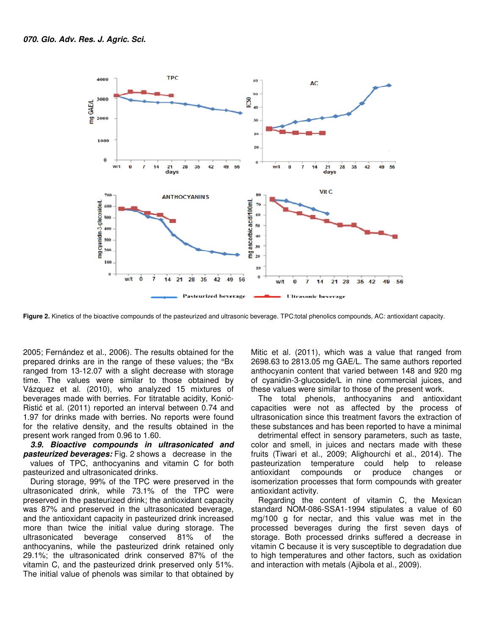

**Figure 2.** Kinetics of the bioactive compounds of the pasteurized and ultrasonic beverage. TPC:total phenolics compounds, AC: antioxidant capacity.

2005; Fernández et al., 2006). The results obtained for the prepared drinks are in the range of these values; the °Bx ranged from 13-12.07 with a slight decrease with storage time. The values were similar to those obtained by Vázquez et al. (2010), who analyzed 15 mixtures of beverages made with berries. For titratable acidity, Konić-Ristić et al. (2011) reported an interval between 0.74 and 1.97 for drinks made with berries. No reports were found for the relative density, and the results obtained in the present work ranged from 0.96 to 1.60.

*3.9. Bioactive compounds in ultrasonicated and pasteurized beverages:* Fig. 2 shows a decrease in the values of TPC, anthocyanins and vitamin C for both pasteurized and ultrasonicated drinks.

During storage, 99% of the TPC were preserved in the ultrasonicated drink, while 73.1% of the TPC were preserved in the pasteurized drink; the antioxidant capacity was 87% and preserved in the ultrasonicated beverage, and the antioxidant capacity in pasteurized drink increased more than twice the initial value during storage. The ultrasonicated beverage conserved 81% of the anthocyanins, while the pasteurized drink retained only 29.1%; the ultrasonicated drink conserved 87% of the vitamin C, and the pasteurized drink preserved only 51%. The initial value of phenols was similar to that obtained by Mitic et al. (2011), which was a value that ranged from 2698.63 to 2813.05 mg GAE/L. The same authors reported anthocyanin content that varied between 148 and 920 mg of cyanidin-3-glucoside/L in nine commercial juices, and these values were similar to those of the present work.

The total phenols, anthocyanins and antioxidant capacities were not as affected by the process of ultrasonication since this treatment favors the extraction of these substances and has been reported to have a minimal

detrimental effect in sensory parameters, such as taste, color and smell, in juices and nectars made with these fruits (Tiwari et al., 2009; Alighourchi et al., 2014). The pasteurization temperature could help to release antioxidant compounds or produce changes or isomerization processes that form compounds with greater antioxidant activity.

Regarding the content of vitamin C, the Mexican standard NOM-086-SSA1-1994 stipulates a value of 60 mg/100 g for nectar, and this value was met in the processed beverages during the first seven days of storage. Both processed drinks suffered a decrease in vitamin C because it is very susceptible to degradation due to high temperatures and other factors, such as oxidation and interaction with metals (Ajibola et al., 2009).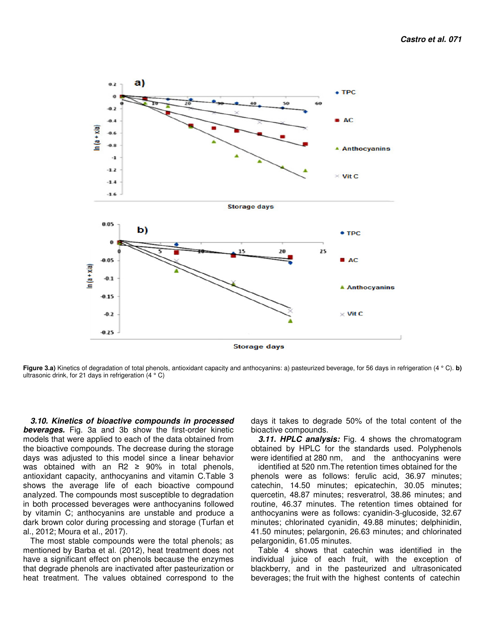

**Figure 3.a)** Kinetics of degradation of total phenols, antioxidant capacity and anthocyanins: a) pasteurized beverage, for 56 days in refrigeration (4 ° C). **b)** ultrasonic drink, for 21 days in refrigeration (4 ° C)

*3.10. Kinetics of bioactive compounds in processed beverages.* Fig. 3a and 3b show the first-order kinetic models that were applied to each of the data obtained from the bioactive compounds. The decrease during the storage days was adjusted to this model since a linear behavior was obtained with an R2  $\ge$  90% in total phenols, antioxidant capacity, anthocyanins and vitamin C.Table 3 shows the average life of each bioactive compound analyzed. The compounds most susceptible to degradation in both processed beverages were anthocyanins followed by vitamin C; anthocyanins are unstable and produce a dark brown color during processing and storage (Turfan et al., 2012; Moura et al., 2017).

The most stable compounds were the total phenols; as mentioned by Barba et al. (2012), heat treatment does not have a significant effect on phenols because the enzymes that degrade phenols are inactivated after pasteurization or heat treatment. The values obtained correspond to the

days it takes to degrade 50% of the total content of the bioactive compounds.

*3.11. HPLC analysis:* Fig. 4 shows the chromatogram obtained by HPLC for the standards used. Polyphenols were identified at 280 nm, and the anthocyanins were

identified at 520 nm.The retention times obtained for the phenols were as follows: ferulic acid, 36.97 minutes; catechin, 14.50 minutes; epicatechin, 30.05 minutes; quercetin, 48.87 minutes; resveratrol, 38.86 minutes; and routine, 46.37 minutes. The retention times obtained for anthocyanins were as follows: cyanidin-3-glucoside, 32.67 minutes; chlorinated cyanidin, 49.88 minutes; delphinidin, 41.50 minutes; pelargonin, 26.63 minutes; and chlorinated pelargonidin, 61.05 minutes.

Table 4 shows that catechin was identified in the individual juice of each fruit, with the exception of blackberry, and in the pasteurized and ultrasonicated beverages; the fruit with the highest contents of catechin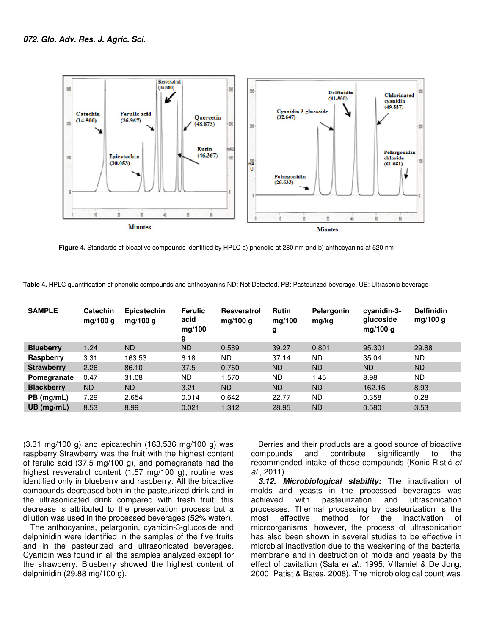

 **Figure 4.** Standards of bioactive compounds identified by HPLC a) phenolic at 280 nm and b) anthocyanins at 520 nm

**Table 4.** HPLC quantification of phenolic compounds and anthocyanins ND: Not Detected, PB: Pasteurized beverage, UB: Ultrasonic beverage

| <b>SAMPLE</b>     | <b>Catechin</b><br>mg/100 g | Epicatechin<br>mg/100 g | <b>Ferulic</b><br>acid<br>mg/100<br>g | <b>Resveratrol</b><br>mg/100 $q$ | <b>Rutin</b><br>mg/100<br>g | Pelargonin<br>mg/kg | cvanidin-3-<br>glucoside<br>mg/100 g | <b>Delfinidin</b><br>mg/100 g |
|-------------------|-----------------------------|-------------------------|---------------------------------------|----------------------------------|-----------------------------|---------------------|--------------------------------------|-------------------------------|
| <b>Blueberry</b>  | 1.24                        | <b>ND</b>               | <b>ND</b>                             | 0.589                            | 39.27                       | 0.801               | 95.301                               | 29.88                         |
| Raspberry         | 3.31                        | 163.53                  | 6.18                                  | ND                               | 37.14                       | <b>ND</b>           | 35.04                                | <b>ND</b>                     |
| <b>Strawberry</b> | 2.26                        | 86.10                   | 37.5                                  | 0.760                            | <b>ND</b>                   | <b>ND</b>           | <b>ND</b>                            | N <sub>D</sub>                |
| Pomegranate       | 0.47                        | 31.08                   | <b>ND</b>                             | 1.570                            | <b>ND</b>                   | 1.45                | 8.98                                 | <b>ND</b>                     |
| <b>Blackberry</b> | ND.                         | ND                      | 3.21                                  | <b>ND</b>                        | <b>ND</b>                   | <b>ND</b>           | 162.16                               | 8.93                          |
| $PB$ (mg/mL)      | 7.29                        | 2.654                   | 0.014                                 | 0.642                            | 22.77                       | <b>ND</b>           | 0.358                                | 0.28                          |
| $UB$ (mg/mL)      | 8.53                        | 8.99                    | 0.021                                 | 1.312                            | 28.95                       | <b>ND</b>           | 0.580                                | 3.53                          |

(3.31 mg/100 g) and epicatechin (163,536 mg/100 g) was raspberry.Strawberry was the fruit with the highest content of ferulic acid (37.5 mg/100 g), and pomegranate had the highest resveratrol content (1.57 mg/100 g); routine was identified only in blueberry and raspberry. All the bioactive compounds decreased both in the pasteurized drink and in the ultrasonicated drink compared with fresh fruit; this decrease is attributed to the preservation process but a dilution was used in the processed beverages (52% water).

The anthocyanins, pelargonin, cyanidin-3-glucoside and delphinidin were identified in the samples of the five fruits and in the pasteurized and ultrasonicated beverages. Cyanidin was found in all the samples analyzed except for the strawberry. Blueberry showed the highest content of delphinidin (29.88 mg/100 g).

Berries and their products are a good source of bioactive compounds and contribute significantly to the recommended intake of these compounds (Konić-Ristić et al., 2011).

*3.12. Microbiological stability:* The inactivation of molds and yeasts in the processed beverages was achieved with pasteurization and ultrasonication processes. Thermal processing by pasteurization is the most effective method for the inactivation of most effective method for the inactivation of microorganisms; however, the process of ultrasonication has also been shown in several studies to be effective in microbial inactivation due to the weakening of the bacterial membrane and in destruction of molds and yeasts by the effect of cavitation (Sala et al., 1995; Villamiel & De Jong, 2000; Patist & Bates, 2008). The microbiological count was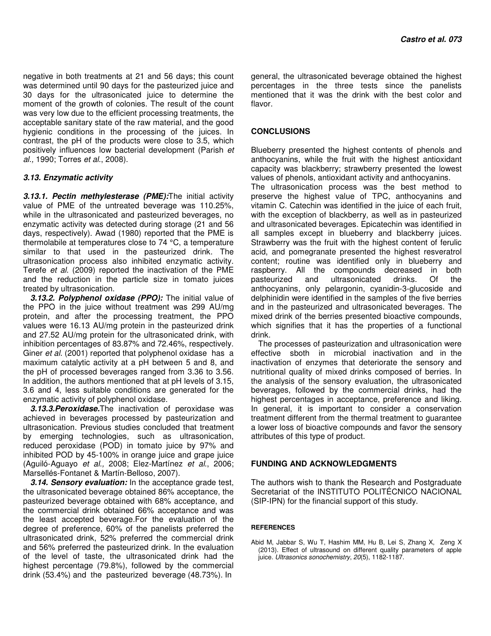negative in both treatments at 21 and 56 days; this count was determined until 90 days for the pasteurized juice and 30 days for the ultrasonicated juice to determine the moment of the growth of colonies. The result of the count was very low due to the efficient processing treatments, the acceptable sanitary state of the raw material, and the good hygienic conditions in the processing of the juices. In contrast, the pH of the products were close to 3.5, which positively influences low bacterial development (Parish et al., 1990; Torres et al., 2008).

#### *3.13. Enzymatic activity*

*3.13.1. Pectin methylesterase (PME):*The initial activity value of PME of the untreated beverage was 110.25%, while in the ultrasonicated and pasteurized beverages, no enzymatic activity was detected during storage (21 and 56 days, respectively). Awad (1980) reported that the PME is thermolabile at temperatures close to 74 °C, a temperature similar to that used in the pasteurized drink. The ultrasonication process also inhibited enzymatic activity. Terefe et al. (2009) reported the inactivation of the PME and the reduction in the particle size in tomato juices treated by ultrasonication.

*3.13.2. Polyphenol oxidase (PPO):* The initial value of the PPO in the juice without treatment was 299 AU/mg protein, and after the processing treatment, the PPO values were 16.13 AU/mg protein in the pasteurized drink and 27.52 AU/mg protein for the ultrasonicated drink, with inhibition percentages of 83.87% and 72.46%, respectively. Giner et al. (2001) reported that polyphenol oxidase has a maximum catalytic activity at a pH between 5 and 8, and the pH of processed beverages ranged from 3.36 to 3.56. In addition, the authors mentioned that at pH levels of 3.15, 3.6 and 4, less suitable conditions are generated for the enzymatic activity of polyphenol oxidase.

*3.13.3.Peroxidase.*The inactivation of peroxidase was achieved in beverages processed by pasteurization and ultrasonication. Previous studies concluded that treatment by emerging technologies, such as ultrasonication, reduced peroxidase (POD) in tomato juice by 97% and inhibited POD by 45-100% in orange juice and grape juice (Aguiló-Aguayo et al., 2008; Elez-Martínez et al., 2006; Marsellés-Fontanet & Martín-Belloso, 2007).

*3.14. Sensory evaluation:* In the acceptance grade test, the ultrasonicated beverage obtained 86% acceptance, the pasteurized beverage obtained with 68% acceptance, and the commercial drink obtained 66% acceptance and was the least accepted beverage.For the evaluation of the degree of preference, 60% of the panelists preferred the ultrasonicated drink, 52% preferred the commercial drink and 56% preferred the pasteurized drink. In the evaluation of the level of taste, the ultrasonicated drink had the highest percentage (79.8%), followed by the commercial drink (53.4%) and the pasteurized beverage (48.73%). In

general, the ultrasonicated beverage obtained the highest percentages in the three tests since the panelists mentioned that it was the drink with the best color and flavor.

### **CONCLUSIONS**

Blueberry presented the highest contents of phenols and anthocyanins, while the fruit with the highest antioxidant capacity was blackberry; strawberry presented the lowest values of phenols, antioxidant activity and anthocyanins.

The ultrasonication process was the best method to preserve the highest value of TPC, anthocyanins and vitamin C. Catechin was identified in the juice of each fruit, with the exception of blackberry, as well as in pasteurized and ultrasonicated beverages. Epicatechin was identified in all samples except in blueberry and blackberry juices. Strawberry was the fruit with the highest content of ferulic acid, and pomegranate presented the highest resveratrol content; routine was identified only in blueberry and raspberry. All the compounds decreased in both pasteurized and ultrasonicated drinks. Of the anthocyanins, only pelargonin, cyanidin-3-glucoside and delphinidin were identified in the samples of the five berries and in the pasteurized and ultrasonicated beverages. The mixed drink of the berries presented bioactive compounds, which signifies that it has the properties of a functional drink.

The processes of pasteurization and ultrasonication were effective sboth in microbial inactivation and in the inactivation of enzymes that deteriorate the sensory and nutritional quality of mixed drinks composed of berries. In the analysis of the sensory evaluation, the ultrasonicated beverages, followed by the commercial drinks, had the highest percentages in acceptance, preference and liking. In general, it is important to consider a conservation treatment different from the thermal treatment to guarantee a lower loss of bioactive compounds and favor the sensory attributes of this type of product.

#### **FUNDING AND ACKNOWLEDGMENTS**

The authors wish to thank the Research and Postgraduate Secretariat of the INSTITUTO POLITÉCNICO NACIONAL (SIP-IPN) for the financial support of this study.

#### **REFERENCES**

Abid M, Jabbar S, Wu T, Hashim MM, Hu B, Lei S, Zhang X, Zeng X (2013). Effect of ultrasound on different quality parameters of apple juice. Ultrasonics sonochemistry, 20(5), 1182-1187.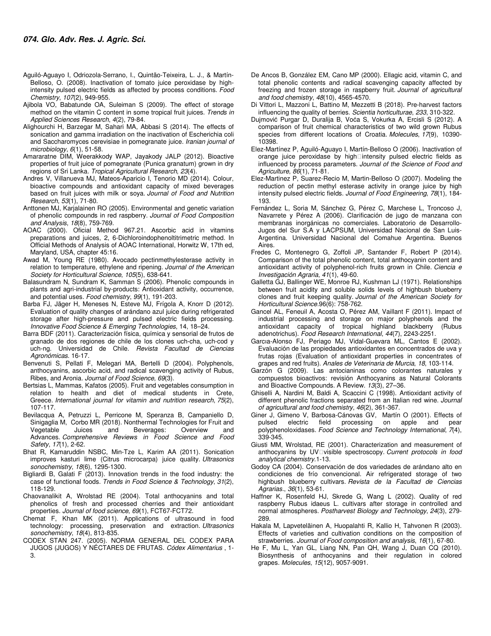- Aguiló-Aguayo I, Odriozola-Serrano, I., Quintão-Teixeira, L. J., & Martín-Belloso, O. (2008). Inactivation of tomato juice peroxidase by highintensity pulsed electric fields as affected by process conditions. Food Chemistry, 107(2), 949-955.
- Ajibola VO, Babatunde OA, Suleiman S (2009). The effect of storage method on the vitamin C content in some tropical fruit juices. Trends in Applied Sciences Research, 4(2), 79-84.
- Alighourchi H, Barzegar M, Sahari MA, Abbasi S (2014). The effects of sonication and gamma irradiation on the inactivation of Escherichia coli and Saccharomyces cerevisiae in pomegranate juice. Iranian journal of microbiology, 6(1), 51-58.
- Amararatne DIM, Weerakkody WAP, Jayakody JALP (2012). Bioactive properties of fruit juice of pomegranate (Punica granatum) grown in dry regions of Sri Lanka. Tropical Agricultural Research, 23(4).
- Andres V, Villanueva MJ, Mateos-Aparicio I, Tenorio MD (2014). Colour, bioactive compounds and antioxidant capacity of mixed beverages based on fruit juices with milk or soya. Journal of Food and Nutrition Research, 53(1), 71-80.
- Anttonen MJ, Karjalainen RO (2005). Environmental and genetic variation of phenolic compounds in red raspberry. Journal of Food Composition and Analysis, 18(8), 759-769.
- AOAC (2000). Oficial Method 967.21. Ascorbic acid in vitamins preparations and juices, 2, 6-Dichloroindophenoltitrimetric method. In Official Methods of Analysis of AOAC International, Horwitz W, 17th ed, Maryland, USA, chapter 45:16.
- Awad M, Young RE (1980). Avocado pectinmethylesterase activity in relation to temperature, ethylene and ripening. Journal of the American Society for Horticultural Science, 105(5), 638-641.
- Balasundram N, Sundram K, Samman S (2006). Phenolic compounds in plants and agri-industrial by-products: Antioxidant activity, occurrence, and potential uses. Food chemistry, 99(1), 191-203.
- Barba FJ, Jäger H, Meneses N, Esteve MJ, Frígola A, Knorr D (2012). Evaluation of quality changes of arándano azul juice during refrigerated storage after high-pressure and pulsed electric fields processing. Innovative Food Science & Emerging Technologies, 14, 18–24.
- Barra BDF (2011). Caracterización física, química y sensorial de frutos de granado de dos regiones de chile de los clones uch-cha, uch-cod y uch-ng. Universidad de Chile. Revista Facultad de Ciencias Agronómicas. 16-17.
- Benvenuti S, Pellati F, Melegari MA, Bertelli D (2004). Polyphenols, anthocyanins, ascorbic acid, and radical scavenging activity of Rubus, Ribes, and Aronia. Journal of Food Science, 69(3).
- Bertsias L, Mammas, Kafatos (2005). Fruit and vegetables consumption in relation to health and diet of medical students in Crete, Greece. International journal for vitamin and nutrition research, 75(2), 107-117.
- Bevilacqua A, Petruzzi L, Perricone M, Speranza B, Campaniello D, Sinigaglia M, Corbo MR (2018). Nonthermal Technologies for Fruit and Vegetable Juices and Beverages: Overview and Advances. Comprehensive Reviews in Food Science and Food Safety, 17(1), 2-62.
- Bhat R, Kamaruddin NSBC, Min-Tze L, Karim AA (2011). Sonication improves kasturi lime (Citrus microcarpa) juice quality. Ultrasonics sonochemistry, 18(6), 1295-1300.
- Bigliardi B, Galati F (2013). Innovation trends in the food industry: the case of functional foods. Trends in Food Science & Technology, 31(2), 118-129.
- Chaovanalikit A, Wrolstad RE (2004). Total anthocyanins and total phenolics of fresh and processed cherries and their antioxidant properties. Journal of food science, 69(1), FCT67-FCT72.
- Chemat F, Khan MK (2011). Applications of ultrasound in food technology: processing, preservation and extraction. Ultrasonics sonochemistry, 18(4), 813-835.
- CODEX STAN 247. (2005). NORMA GENERAL DEL CODEX PARA JUGOS (JUGOS) Y NÉCTARES DE FRUTAS. Códex Alimentarius , 1- 3.
- De Ancos B, González EM, Cano MP (2000). Ellagic acid, vitamin C, and total phenolic contents and radical scavenging capacity affected by freezing and frozen storage in raspberry fruit. Journal of agricultural and food chemistry, 48(10), 4565-4570.
- Di Vittori L, Mazzoni L, Battino M, Mezzetti B (2018). Pre-harvest factors influencing the quality of berries. Scientia horticulturae, 233, 310-322.
- Dujmović Purgar D, Duralija B, Voća S, Vokurka A, Ercisli S (2012). A comparison of fruit chemical characteristics of two wild grown Rubus species from different locations of Croatia. Molecules, 17(9), 10390- 10398.
- Elez-Martínez P, Aguiló-Aguayo I, Martín-Belloso O (2006). Inactivation of orange juice peroxidase by high intensity pulsed electric fields as influenced by process parameters. Journal of the Science of Food and Agriculture, 86(1), 71-81.
- Elez-Martinez P, Suarez-Recio M, Martin-Belloso O (2007). Modeling the reduction of pectin methyl esterase activity in orange juice by high intensity pulsed electric fields. Journal of Food Engineering, 78(1), 184- 193.
- Fernández L, Soria M, Sánchez G, Pérez C, Marchese L, Troncoso J, Navarrete y Pérez A (2006). Clarificación de jugo de manzana con membranas inorgánicas no comerciales. Laboratorio de Desarrollo-Jugos del Sur S.A y LACPSUM, Universidad Nacional de San Luis-Argentina. Universidad Nacional del Comahue Argentina. Buenos Aires.
- Fredes C, Montenegro G, Zoffoli JP, Santander F, Robert P (2014). Comparison of the total phenolic content, total anthocyanin content and antioxidant activity of polyphenol-rich fruits grown in Chile. Ciencia e Investigación Agraria, 41(1), 49-60.
- Galletta GJ, Ballinger WE, Monroe RJ, Kushman LJ (1971). Relationships between fruit acidity and soluble solids levels of highbush blueberry clones and fruit keeping quality. Journal of the American Society for Horticultural Science.96(6): 758-762.
- Gancel AL, Feneuil A, Acosta O, Pérez AM, Vaillant F (2011). Impact of industrial processing and storage on major polyphenols and the antioxidant capacity of tropical highland blackberry (Rubus adenotrichus). Food Research International, 44(7), 2243-2251.
- Garcıa-Alonso FJ, Periago MJ, Vidal-Guevara ML, Cantos E (2002). Evaluación de las propiedades antioxidantes en concentrados de uva y frutas rojas (Evaluation of antioxidant properties in concentrates of grapes and red fruits). Anales de Veterinaria de Murcia, 18, 103-114.
- Garzón G (2009). Las antocianinas como colorantes naturales y compuestos bioactivos: revisión Anthocyanins as Natural Colorants and Bioactive Compounds. A Review. 13(3), 27–36.
- Ghiselli A, Nardini M, Baldi A, Scaccini C (1998). Antioxidant activity of different phenolic fractions separated from an Italian red wine. Journal of agricultural and food chemistry, 46(2), 361-367.
- Giner J, Gimeno V, Barbosa-Cánovas GV, Martín O (2001). Effects of pulsed electric field processing on apple and pear polyphenoloxidases. Food Science and Technology International, 7(4), 339-345.
- Giusti MM, Wrolstad, RE (2001). Characterization and measurement of anthocyanins by UV visible spectroscopy. Current protocols in food analytical chemistry.1-13.
- Godoy CA (2004). Conservación de dos variedades de arándano alto en condiciones de frío convencional. Air refrigerated storage of two highbush blueberry cultivars. Revista de la Facultad de Ciencias Agrarias., 36(1), 53-61.
- Haffner K, Rosenfeld HJ, Skrede G, Wang L (2002). Quality of red raspberry Rubus idaeus L. cultivars after storage in controlled and normal atmospheres. Postharvest Biology and Technology, 24(3), 279- 289.
- Hakala M, Lapveteläinen A, Huopalahti R, Kallio H, Tahvonen R (2003). Effects of varieties and cultivation conditions on the composition of strawberries. Journal of Food composition and analysis, 16(1), 67-80.
- He F, Mu L, Yan GL, Liang NN, Pan QH, Wang J, Duan CQ (2010). Biosynthesis of anthocyanins and their regulation in colored grapes. Molecules, 15(12), 9057-9091.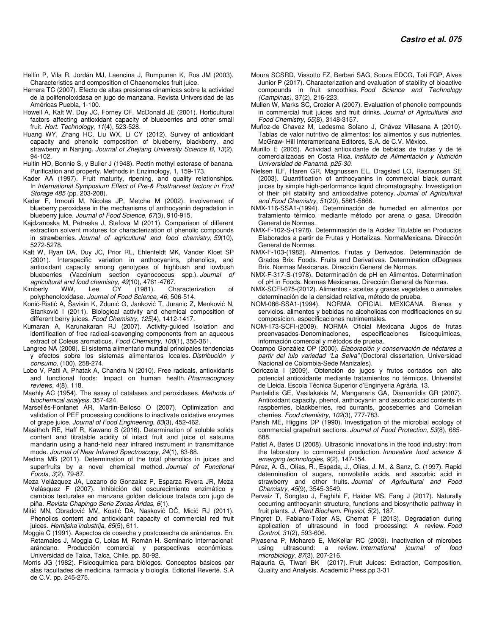- Hellín P, Vila R, Jordán MJ, Laencina J, Rumpunen K, Ros JM (2003). Characteristics and composition of Chaenomeles fruit juice.
- Herrera TC (2007). Efecto de altas presiones dinamicas sobre la actividad de la polifenoloxidasa en jugo de manzana. Revista Universidad de las Américas Puebla, 1-100.
- Howell A, Kalt W, Duy JC, Forney CF, McDonald JE (2001). Horticultural factors affecting antioxidant capacity of blueberries and other small fruit. Hort. Technology, 11(4), 523-528.
- Huang WY, Zhang HC, Liu WX, Li CY (2012). Survey of antioxidant capacity and phenolic composition of blueberry, blackberry, and strawberry in Nanjing. Journal of Zhejiang University Science B, 13(2), 94-102.
- Hultin HO, Bonnie S, y Buller J (1948). Pectin methyl esterase of banana. Purification and property. Methods in Enzimology, 1, 159-173.
- Kader AA (1997). Fruit maturity, ripening, and quality relationships. In International Symposium Effect of Pre-& Postharvest factors in Fruit Storage 485 (pp. 203-208).
- Kader F, Irmouli M, Nicolas JP, Metche M (2002). Involvement of blueberry peroxidase in the mechanisms of anthocyanin degradation in blueberry juice. Journal of Food Science, 67(3), 910-915.
- Kajdzanoska M, Petreska J, Stefova M (2011). Comparison of different extraction solvent mixtures for characterization of phenolic compounds in strawberries. Journal of agricultural and food chemistry, 59(10), 5272-5278.
- Kalt W, Ryan DA, Duy JC, Prior RL, Ehlenfeldt MK, Vander Kloet SP (2001). Interspecific variation in anthocyanins, phenolics, and antioxidant capacity among genotypes of highbush and lowbush blueberries (Vaccinium section cyanococcus spp.). Journal of agricultural and food chemistry, 49(10), 4761-4767.<br>Kimberly WW, Lee CY (1981). Ch
- Lee CY (1981). Characterization of polyphenoloxidase. Journal of Food Science, 46, 506-514.
- Konić-Ristić A, Šavikin K, Zdunić G, Janković T, Juranic Z, Menković N, Stanković I (2011). Biological activity and chemical composition of different berry juices. Food Chemistry, 125(4), 1412-1417.
- Kumaran A, Karunakaran RJ (2007). Activity-guided isolation and identification of free radical-scavenging components from an aqueous extract of Coleus aromaticus. Food Chemistry, 100(1), 356-361.
- Langreo NA (2008). El sistema alimentario mundial principales tendencias y efectos sobre los sistemas alimentarios locales. Distribución y consumo, (100), 258-274.
- Lobo V, Patil A, Phatak A, Chandra N (2010). Free radicals, antioxidants and functional foods: Impact on human health. Pharmacognosy reviews, 4(8), 118.
- Maehly AC (1954). The assay of catalases and peroxidases. Methods of biochemical analysis, 357-424.
- Marsellés-Fontanet ÁR, Martin-Belloso O (2007). Optimization and validation of PEF processing conditions to inactivate oxidative enzymes of grape juice. Journal of Food Engineering, 83(3), 452-462.
- Masithoh RE, Haff R, Kawano S (2016). Determination of soluble solids content and titratable acidity of intact fruit and juice of satsuma mandarin using a hand-held near infrared instrument in transmittance mode. Journal of Near Infrared Spectroscopy, 24(1), 83-88.
- Medina MB (2011). Determination of the total phenolics in juices and superfruits by a novel chemical method. Journal of Functional Foods, 3(2), 79-87.
- Meza Velázquez JA, Lozano de Gonzalez P, Esparza Rivera JR, Meza Velásquez F (2007). Inhibición del oscurecimiento enzimático y cambios texturales en manzana golden delicious tratada con jugo de piña. Revista Chapingo Serie Zonas Áridas, 6(1).
- Mitić MN, Obradović MV, Kostić DA, Nasković DČ, Micić RJ (2011). Phenolics content and antioxidant capacity of commercial red fruit juices. Hemijska industrija, 65(5), 611.
- Moggia C (1991). Aspectos de cosecha y postcosecha de arándanos. En: Retamales J, Moggia C, Lolas M, Román H. Seminario Internacional: arándano. Producción comercial y perspectivas económicas. Universidad de Talca, Talca, Chile. pp. 80-92.
- Morris JG (1982). Fisicoquímica para biólogos. Conceptos básicos par alas facultades de medicina, farmacia y biología. Editorial Reverté. S.A de C.V. pp. 245-275.
- Moura SCSRD, Vissotto FZ, Berbari SAG, Souza EDCG, Toti FGP, Alves Junior P (2017). Characterization and evaluation of stability of bioactive compounds in fruit smoothies. Food Science and Technology (Campinas), 37(2), 216-223.
- Mullen W, Marks SC, Crozier A (2007). Evaluation of phenolic compounds in commercial fruit juices and fruit drinks. Journal of Agricultural and Food Chemistry, 55(8), 3148-3157.
- Muñoz-de Chavez M, Ledesma Solano J, Chávez Villasana A (2010). Tablas de valor nutritivo de alimentos: los alimentos y sus nutrientes. McGraw- Hill Interamericana Editores, S.A. de C.V. México.
- Murillo E (2005). Actividad antioxidante de bebidas de frutas y de té comercializadas en Costa Rica. Instituto de Alimentación y Nutrición Universidad de Panamá. p25-30.
- Nielsen ILF, Haren GR, Magnussen EL, Dragsted LO, Rasmussen SE (2003). Quantification of anthocyanins in commercial black currant juices by simple high-performance liquid chromatography. Investigation of their pH stability and antioxidative potency. Journal of Agricultural and Food Chemistry, 51(20), 5861-5866.
- NMX-116-SSA1-(1994). Determinación de humedad en alimentos por tratamiento térmico, mediante método por arena o gasa. Dirección General de Normas.
- NMX-F-102-S-(1978). Determinación de la Acidez Titulable en Productos Elaborados a partir de Frutas y Hortalizas. NormaMexicana. Dirección General de Normas.
- NMX-F-103-(1982). Alimentos. Frutas y Derivados. Determinación de Grados Brix. Foods. Fruits and Derivatives. Determination ofDegrees Brix. Normas Mexicanas. Dirección General de Normas.
- NMX-F-317-S-(1978). Determinación de pH en Alimentos. Determination of pH in Foods. Normas Mexicanas. Dirección General de Normas.
- NMX-SCFI-075-(2012). Alimentos aceites y grasas vegetales o animales determinación de la densidad relativa, método de prueba.
- NOM-086-SSA1-(1994). NORMA OFICIAL MEXICANA. Bienes y servicios. alimentos y bebidas no alcoholicas con modificaciones en su composicion. especificaciones nutrimentales.
- NOM-173-SCFI-(2009). NORMA Oficial Mexicana Jugos de frutas preenvasados-Denominaciones, especificaciones fisicoquímicas, información comercial y métodos de prueba.
- Ocampo González OP (2000). Elaboración y conservación de néctares a partir del lulo variedad "La Selva" (Doctoral dissertation, Universidad Nacional de Colombia-Sede Manizales).
- Odriozola I (2009). Obtención de jugos y frutos cortados con alto potencial antioxidante mediante tratamientos no térmicos. Universitat de Lleida. Escola Tècnica Superior d'Enginyeria Agrària. 13.
- Pantelidis GE, Vasilakakis M, Manganaris GA, Diamantidis GR (2007). Antioxidant capacity, phenol, anthocyanin and ascorbic acid contents in raspberries, blackberries, red currants, gooseberries and Cornelian cherries. Food chemistry, 102(3), 777-783.
- Parish ME, Higgins DP (1990). Investigation of the microbial ecology of commercial grapefruit sections. Journal of Food Protection, 53(8), 685- 688.
- Patist A, Bates D (2008). Ultrasonic innovations in the food industry: from the laboratory to commercial production. Innovative food science & emerging technologies, 9(2), 147-154.
- Pérez, A. G., Olías, R., Espada, J., Olías, J. M., & Sanz, C. (1997). Rapid determination of sugars, nonvolatile acids, and ascorbic acid in strawberry and other fruits. Journal of Agricultural and Food Chemistry, 45(9), 3545-3549.
- Pervaiz T, Songtao J, Faghihi F, Haider MS, Fang J (2017). Naturally occurring anthocyanin structure, functions and biosynthetic pathway in fruit plants. J. Plant Biochem. Physiol, 5(2), 187.
- Pingret D, Fabiano-Tixier AS, Chemat F (2013). Degradation during application of ultrasound in food processing: A review. Food Control, 31(2), 593-606.
- Piyasena P, Mohareb E, McKellar RC (2003). Inactivation of microbes using ultrasound: a review. International journal of food microbiology, 87(3), 207-216.
- Rajauria G, Tiwari BK (2017). Fruit Juices: Extraction, Composition, Quality and Analysis. Academic Press.pp 3-31